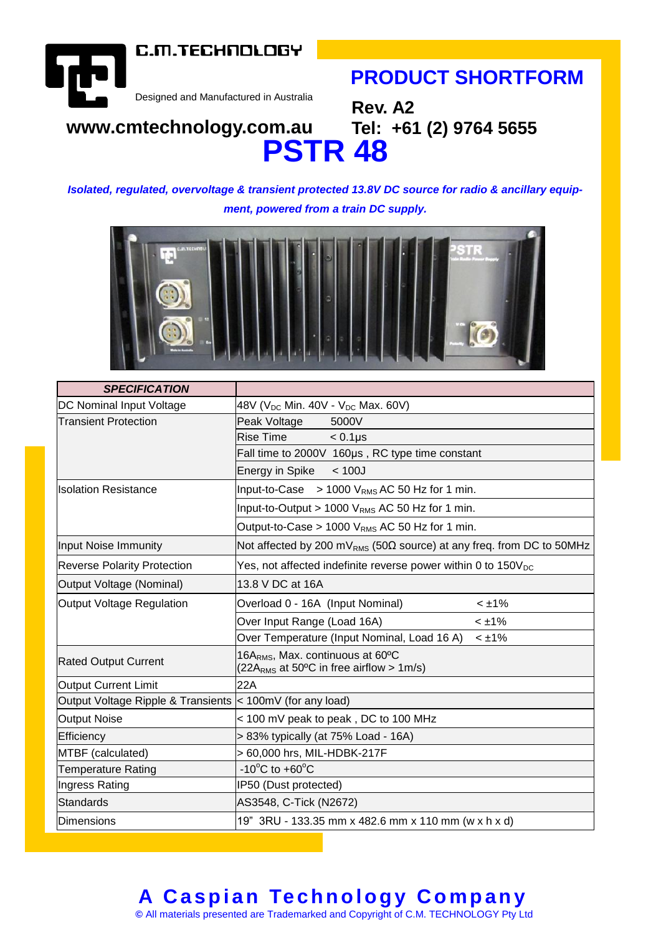C.M.TECHNOLOGY



**Tel: +61 (2) 9764 5655** 

Designed and Manufactured in Australia

# **www.cmtechnology.com.au PSTR 48**

*Isolated, regulated, overvoltage & transient protected 13.8V DC source for radio & ancillary equipment, powered from a train DC supply.*

**Rev. A2**



| <b>SPECIFICATION</b>                                      |                                                                                            |
|-----------------------------------------------------------|--------------------------------------------------------------------------------------------|
| DC Nominal Input Voltage                                  | 48V ( $V_{DC}$ Min. 40V - $V_{DC}$ Max. 60V)                                               |
| <b>Transient Protection</b>                               | 5000V<br>Peak Voltage                                                                      |
|                                                           | <b>Rise Time</b><br>$< 0.1 \mu s$                                                          |
|                                                           | Fall time to 2000V 160µs, RC type time constant                                            |
|                                                           | Energy in Spike<br>< 100J                                                                  |
| Ilsolation Resistance                                     | Input-to-Case > 1000 $V_{RMS}$ AC 50 Hz for 1 min.                                         |
|                                                           | Input-to-Output > 1000 $V_{RMS}$ AC 50 Hz for 1 min.                                       |
|                                                           | Output-to-Case > 1000 V <sub>RMS</sub> AC 50 Hz for 1 min.                                 |
| Input Noise Immunity                                      | Not affected by 200 mV <sub>RMS</sub> (50 $\Omega$ source) at any freq. from DC to 50MHz   |
| <b>Reverse Polarity Protection</b>                        | Yes, not affected indefinite reverse power within 0 to $150V_{DC}$                         |
| Output Voltage (Nominal)                                  | 13.8 V DC at 16A                                                                           |
| Output Voltage Regulation                                 | Overload 0 - 16A (Input Nominal)<br>$<$ ±1%                                                |
|                                                           | Over Input Range (Load 16A)<br>$<$ ±1%                                                     |
|                                                           | Over Temperature (Input Nominal, Load 16 A)<br>$<$ ±1%                                     |
| <b>Rated Output Current</b>                               | 16A <sub>RMS</sub> , Max. continuous at 60°C<br>(22 $ARMS$ at 50°C in free airflow > 1m/s) |
| Output Current Limit                                      | 22A                                                                                        |
| Output Voltage Ripple & Transients < 100mV (for any load) |                                                                                            |
| Output Noise                                              | < 100 mV peak to peak, DC to 100 MHz                                                       |
| Efficiency                                                | > 83% typically (at 75% Load - 16A)                                                        |
| MTBF (calculated)                                         | > 60,000 hrs, MIL-HDBK-217F                                                                |
| <b>Temperature Rating</b>                                 | -10 $\mathrm{^{\circ}C}$ to +60 $\mathrm{^{\circ}C}$                                       |
| Ingress Rating                                            | IP50 (Dust protected)                                                                      |
| Standards                                                 | AS3548, C-Tick (N2672)                                                                     |
| Dimensions                                                | 19" 3RU - 133.35 mm x 482.6 mm x 110 mm (w x h x d)                                        |

### **A Caspian Technology Company ©** All materials presented are Trademarked and Copyright of C.M. TECHNOLOGY Pty Ltd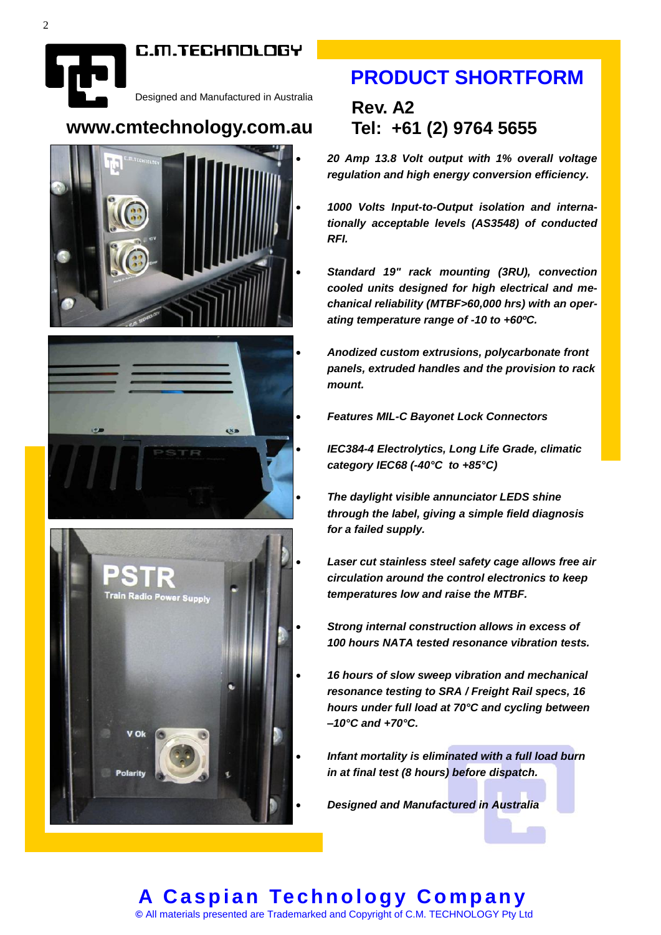#### C.M.TECHNOLOGY

Designed and Manufactured in Australia

### **www.cmtechnology.com.au**







## **PRODUCT SHORTFORM**

### **Rev. A2 Tel: +61 (2) 9764 5655**

 *20 Amp 13.8 Volt output with 1% overall voltage regulation and high energy conversion efficiency.*

 *1000 Volts Input-to-Output isolation and internationally acceptable levels (AS3548) of conducted RFI.*

 *Standard 19" rack mounting (3RU), convection cooled units designed for high electrical and mechanical reliability (MTBF>60,000 hrs) with an operating temperature range of -10 to +60ºC.*

 *Anodized custom extrusions, polycarbonate front panels, extruded handles and the provision to rack mount.* 

*Features MIL-C Bayonet Lock Connectors*

 *IEC384-4 Electrolytics, Long Life Grade, climatic category IEC68 (-40°C to +85°C)*

 *The daylight visible annunciator LEDS shine through the label, giving a simple field diagnosis for a failed supply.* 

 *Laser cut stainless steel safety cage allows free air circulation around the control electronics to keep temperatures low and raise the MTBF.*

- *Strong internal construction allows in excess of 100 hours NATA tested resonance vibration tests.*
- *16 hours of slow sweep vibration and mechanical resonance testing to SRA / Freight Rail specs, 16 hours under full load at 70°C and cycling between –10°C and +70°C.*
- *Infant mortality is eliminated with a full load burn in at final test (8 hours) before dispatch.*
- *Designed and Manufactured in Australia*

#### **A C a s p i a n Te ch n o l o g y C o mp an y ©** All materials presented are Trademarked and Copyright of C.M. TECHNOLOGY Pty Ltd